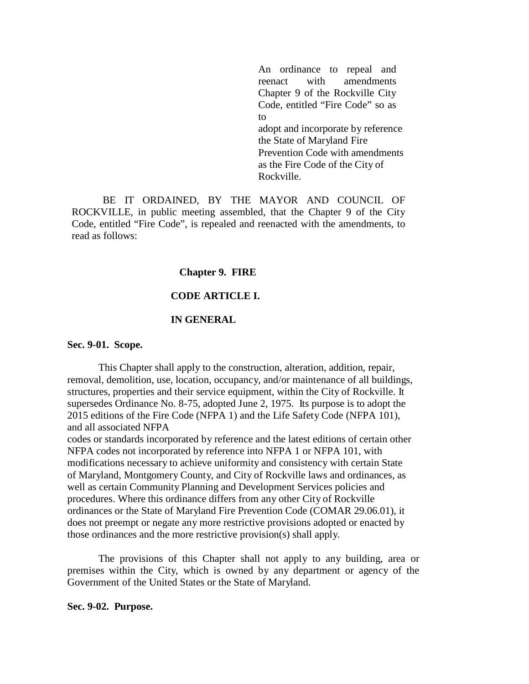An ordinance to repeal and reenact with amendments Chapter 9 of the Rockville City Code, entitled "Fire Code" so as  $t_0$ adopt and incorporate by reference the State of Maryland Fire Prevention Code with amendments as the Fire Code of the City of Rockville.

BE IT ORDAINED, BY THE MAYOR AND COUNCIL OF ROCKVILLE, in public meeting assembled, that the Chapter 9 of the City Code, entitled "Fire Code", is repealed and reenacted with the amendments, to read as follows:

#### **Chapter 9. FIRE**

#### **CODE ARTICLE I.**

#### **IN GENERAL**

#### **Sec. 9-01. Scope.**

This Chapter shall apply to the construction, alteration, addition, repair, removal, demolition, use, location, occupancy, and/or maintenance of all buildings, structures, properties and their service equipment, within the City of Rockville. It supersedes Ordinance No. 8-75, adopted June 2, 1975. Its purpose is to adopt the 2015 editions of the Fire Code (NFPA 1) and the Life Safety Code (NFPA 101), and all associated NFPA

codes or standards incorporated by reference and the latest editions of certain other NFPA codes not incorporated by reference into NFPA 1 or NFPA 101, with modifications necessary to achieve uniformity and consistency with certain State of Maryland, Montgomery County, and City of Rockville laws and ordinances, as well as certain Community Planning and Development Services policies and procedures. Where this ordinance differs from any other City of Rockville ordinances or the State of Maryland Fire Prevention Code (COMAR 29.06.01), it does not preempt or negate any more restrictive provisions adopted or enacted by those ordinances and the more restrictive provision(s) shall apply.

The provisions of this Chapter shall not apply to any building, area or premises within the City, which is owned by any department or agency of the Government of the United States or the State of Maryland.

**Sec. 9-02. Purpose.**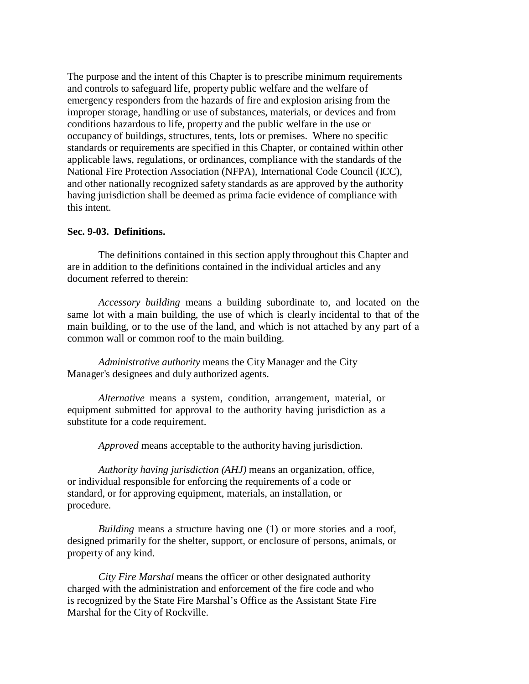The purpose and the intent of this Chapter is to prescribe minimum requirements and controls to safeguard life, property public welfare and the welfare of emergency responders from the hazards of fire and explosion arising from the improper storage, handling or use of substances, materials, or devices and from conditions hazardous to life, property and the public welfare in the use or occupancy of buildings, structures, tents, lots or premises. Where no specific standards or requirements are specified in this Chapter, or contained within other applicable laws, regulations, or ordinances, compliance with the standards of the National Fire Protection Association (NFPA), International Code Council (ICC), and other nationally recognized safety standards as are approved by the authority having jurisdiction shall be deemed as prima facie evidence of compliance with this intent.

#### **Sec. 9-03. Definitions.**

The definitions contained in this section apply throughout this Chapter and are in addition to the definitions contained in the individual articles and any document referred to therein:

*Accessory building* means a building subordinate to, and located on the same lot with a main building, the use of which is clearly incidental to that of the main building, or to the use of the land, and which is not attached by any part of a common wall or common roof to the main building.

*Administrative authority* means the City Manager and the City Manager's designees and duly authorized agents.

*Alternative* means a system, condition, arrangement, material, or equipment submitted for approval to the authority having jurisdiction as a substitute for a code requirement.

*Approved* means acceptable to the authority having jurisdiction.

*Authority having jurisdiction (AHJ)* means an organization, office, or individual responsible for enforcing the requirements of a code or standard, or for approving equipment, materials, an installation, or procedure.

*Building* means a structure having one (1) or more stories and a roof, designed primarily for the shelter, support, or enclosure of persons, animals, or property of any kind.

*City Fire Marshal* means the officer or other designated authority charged with the administration and enforcement of the fire code and who is recognized by the State Fire Marshal's Office as the Assistant State Fire Marshal for the City of Rockville.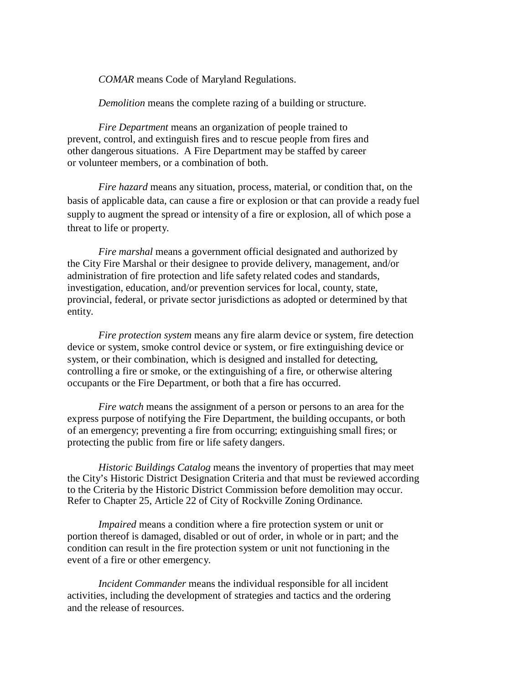*COMAR* means Code of Maryland Regulations.

*Demolition* means the complete razing of a building or structure.

*Fire Department* means an organization of people trained to prevent, control, and extinguish fires and to rescue people from fires and other dangerous situations. A Fire Department may be staffed by career or volunteer members, or a combination of both.

*Fire hazard* means any situation, process, material, or condition that, on the basis of applicable data, can cause a fire or explosion or that can provide a ready fuel supply to augment the spread or intensity of a fire or explosion, all of which pose a threat to life or property.

*Fire marshal* means a government official designated and authorized by the City Fire Marshal or their designee to provide delivery, management, and/or administration of fire protection and life safety related codes and standards, investigation, education, and/or prevention services for local, county, state, provincial, federal, or private sector jurisdictions as adopted or determined by that entity.

*Fire protection system* means any fire alarm device or system, fire detection device or system, smoke control device or system, or fire extinguishing device or system, or their combination, which is designed and installed for detecting, controlling a fire or smoke, or the extinguishing of a fire, or otherwise altering occupants or the Fire Department, or both that a fire has occurred.

*Fire watch* means the assignment of a person or persons to an area for the express purpose of notifying the Fire Department, the building occupants, or both of an emergency; preventing a fire from occurring; extinguishing small fires; or protecting the public from fire or life safety dangers.

*Historic Buildings Catalog* means the inventory of properties that may meet the City's Historic District Designation Criteria and that must be reviewed according to the Criteria by the Historic District Commission before demolition may occur. Refer to Chapter 25, Article 22 of City of Rockville Zoning Ordinance*.*

*Impaired* means a condition where a fire protection system or unit or portion thereof is damaged, disabled or out of order, in whole or in part; and the condition can result in the fire protection system or unit not functioning in the event of a fire or other emergency.

*Incident Commander* means the individual responsible for all incident activities, including the development of strategies and tactics and the ordering and the release of resources.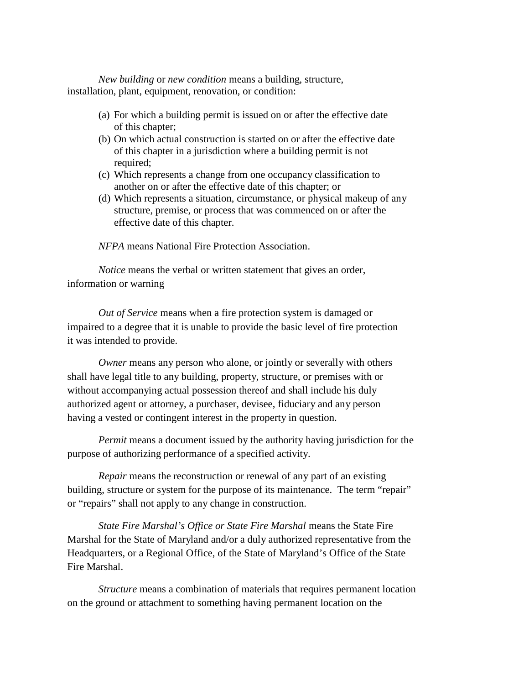*New building* or *new condition* means a building, structure, installation, plant, equipment, renovation, or condition:

- (a) For which a building permit is issued on or after the effective date of this chapter;
- (b) On which actual construction is started on or after the effective date of this chapter in a jurisdiction where a building permit is not required;
- (c) Which represents a change from one occupancy classification to another on or after the effective date of this chapter; or
- (d) Which represents a situation, circumstance, or physical makeup of any structure, premise, or process that was commenced on or after the effective date of this chapter.

*NFPA* means National Fire Protection Association.

*Notice* means the verbal or written statement that gives an order, information or warning

*Out of Service* means when a fire protection system is damaged or impaired to a degree that it is unable to provide the basic level of fire protection it was intended to provide.

*Owner* means any person who alone, or jointly or severally with others shall have legal title to any building, property, structure, or premises with or without accompanying actual possession thereof and shall include his duly authorized agent or attorney, a purchaser, devisee, fiduciary and any person having a vested or contingent interest in the property in question.

*Permit* means a document issued by the authority having jurisdiction for the purpose of authorizing performance of a specified activity.

*Repair* means the reconstruction or renewal of any part of an existing building, structure or system for the purpose of its maintenance. The term "repair" or "repairs" shall not apply to any change in construction.

*State Fire Marshal's Office or State Fire Marshal* means the State Fire Marshal for the State of Maryland and/or a duly authorized representative from the Headquarters, or a Regional Office, of the State of Maryland's Office of the State Fire Marshal.

*Structure* means a combination of materials that requires permanent location on the ground or attachment to something having permanent location on the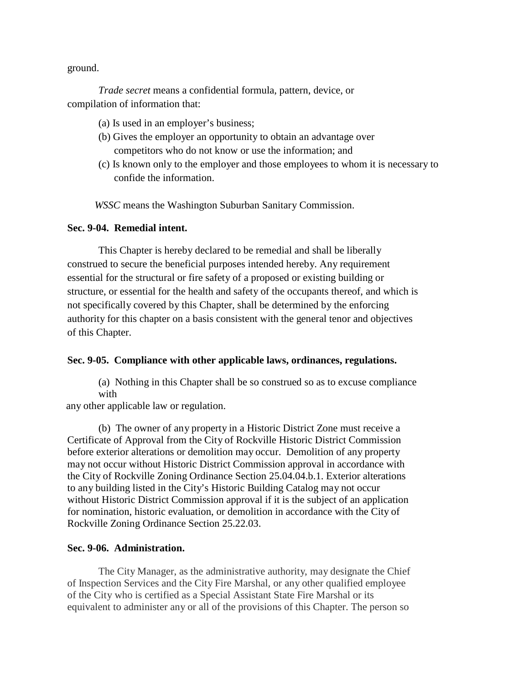ground.

*Trade secret* means a confidential formula, pattern, device, or compilation of information that:

- (a) Is used in an employer's business;
- (b) Gives the employer an opportunity to obtain an advantage over competitors who do not know or use the information; and
- (c) Is known only to the employer and those employees to whom it is necessary to confide the information.

*WSSC* means the Washington Suburban Sanitary Commission.

## **Sec. 9-04. Remedial intent.**

This Chapter is hereby declared to be remedial and shall be liberally construed to secure the beneficial purposes intended hereby. Any requirement essential for the structural or fire safety of a proposed or existing building or structure, or essential for the health and safety of the occupants thereof, and which is not specifically covered by this Chapter, shall be determined by the enforcing authority for this chapter on a basis consistent with the general tenor and objectives of this Chapter.

## **Sec. 9-05. Compliance with other applicable laws, ordinances, regulations.**

(a) Nothing in this Chapter shall be so construed so as to excuse compliance with

any other applicable law or regulation.

(b) The owner of any property in a Historic District Zone must receive a Certificate of Approval from the City of Rockville Historic District Commission before exterior alterations or demolition may occur. Demolition of any property may not occur without Historic District Commission approval in accordance with the City of Rockville Zoning Ordinance Section 25.04.04.b.1. Exterior alterations to any building listed in the City's Historic Building Catalog may not occur without Historic District Commission approval if it is the subject of an application for nomination, historic evaluation, or demolition in accordance with the City of Rockville Zoning Ordinance Section 25.22.03.

## **Sec. 9-06. Administration.**

The City Manager, as the administrative authority, may designate the Chief of Inspection Services and the City Fire Marshal, or any other qualified employee of the City who is certified as a Special Assistant State Fire Marshal or its equivalent to administer any or all of the provisions of this Chapter. The person so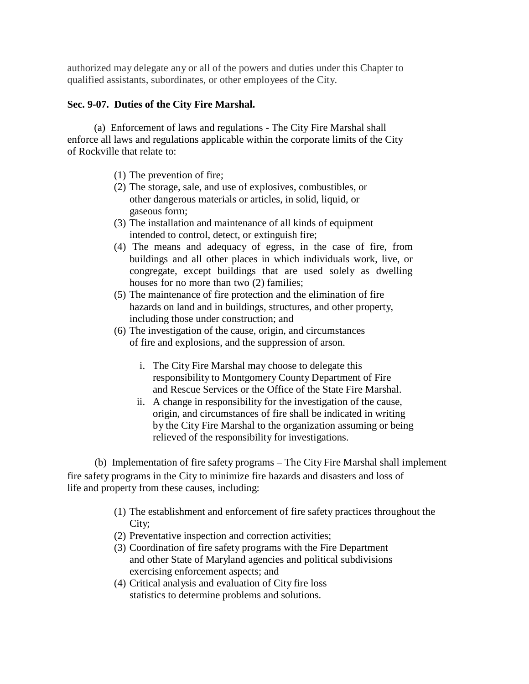authorized may delegate any or all of the powers and duties under this Chapter to qualified assistants, subordinates, or other employees of the City.

# **Sec. 9-07. Duties of the City Fire Marshal.**

(a) Enforcement of laws and regulations - The City Fire Marshal shall enforce all laws and regulations applicable within the corporate limits of the City of Rockville that relate to:

- (1) The prevention of fire;
- (2) The storage, sale, and use of explosives, combustibles, or other dangerous materials or articles, in solid, liquid, or gaseous form;
- (3) The installation and maintenance of all kinds of equipment intended to control, detect, or extinguish fire;
- (4) The means and adequacy of egress, in the case of fire, from buildings and all other places in which individuals work, live, or congregate, except buildings that are used solely as dwelling houses for no more than two (2) families;
- (5) The maintenance of fire protection and the elimination of fire hazards on land and in buildings, structures, and other property, including those under construction; and
- (6) The investigation of the cause, origin, and circumstances of fire and explosions, and the suppression of arson.
	- i. The City Fire Marshal may choose to delegate this responsibility to Montgomery County Department of Fire and Rescue Services or the Office of the State Fire Marshal.
	- ii. A change in responsibility for the investigation of the cause, origin, and circumstances of fire shall be indicated in writing by the City Fire Marshal to the organization assuming or being relieved of the responsibility for investigations.

(b) Implementation of fire safety programs – The City Fire Marshal shall implement fire safety programs in the City to minimize fire hazards and disasters and loss of life and property from these causes, including:

- (1) The establishment and enforcement of fire safety practices throughout the City;
- (2) Preventative inspection and correction activities;
- (3) Coordination of fire safety programs with the Fire Department and other State of Maryland agencies and political subdivisions exercising enforcement aspects; and
- (4) Critical analysis and evaluation of City fire loss statistics to determine problems and solutions.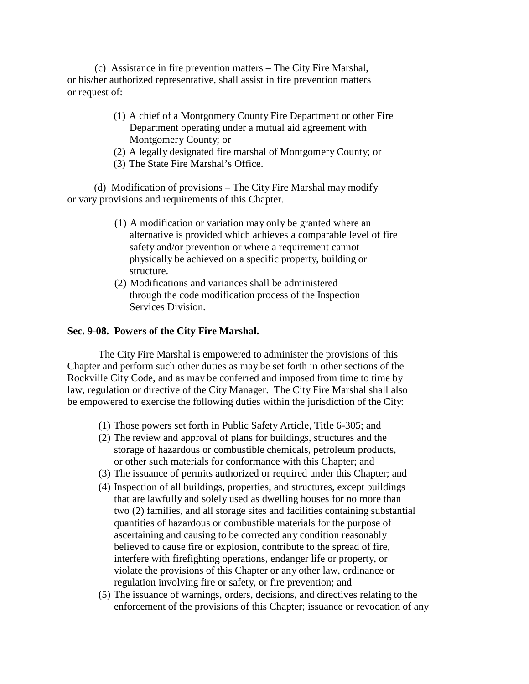(c) Assistance in fire prevention matters – The City Fire Marshal, or his/her authorized representative, shall assist in fire prevention matters or request of:

- (1) A chief of a Montgomery County Fire Department or other Fire Department operating under a mutual aid agreement with Montgomery County; or
- (2) A legally designated fire marshal of Montgomery County; or
- (3) The State Fire Marshal's Office.

(d) Modification of provisions – The City Fire Marshal may modify or vary provisions and requirements of this Chapter.

- (1) A modification or variation may only be granted where an alternative is provided which achieves a comparable level of fire safety and/or prevention or where a requirement cannot physically be achieved on a specific property, building or structure.
- (2) Modifications and variances shall be administered through the code modification process of the Inspection Services Division.

## **Sec. 9-08. Powers of the City Fire Marshal.**

The City Fire Marshal is empowered to administer the provisions of this Chapter and perform such other duties as may be set forth in other sections of the Rockville City Code, and as may be conferred and imposed from time to time by law, regulation or directive of the City Manager. The City Fire Marshal shall also be empowered to exercise the following duties within the jurisdiction of the City:

- (1) Those powers set forth in Public Safety Article, Title 6-305; and
- (2) The review and approval of plans for buildings, structures and the storage of hazardous or combustible chemicals, petroleum products, or other such materials for conformance with this Chapter; and
- (3) The issuance of permits authorized or required under this Chapter; and
- (4) Inspection of all buildings, properties, and structures, except buildings that are lawfully and solely used as dwelling houses for no more than two (2) families, and all storage sites and facilities containing substantial quantities of hazardous or combustible materials for the purpose of ascertaining and causing to be corrected any condition reasonably believed to cause fire or explosion, contribute to the spread of fire, interfere with firefighting operations, endanger life or property, or violate the provisions of this Chapter or any other law, ordinance or regulation involving fire or safety, or fire prevention; and
- (5) The issuance of warnings, orders, decisions, and directives relating to the enforcement of the provisions of this Chapter; issuance or revocation of any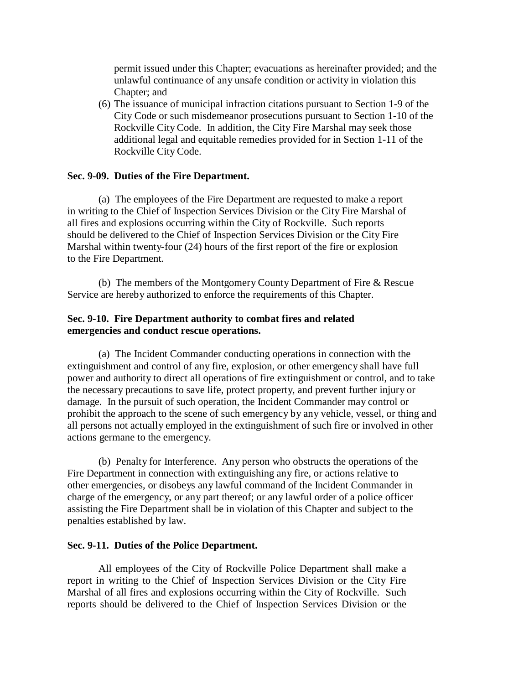permit issued under this Chapter; evacuations as hereinafter provided; and the unlawful continuance of any unsafe condition or activity in violation this Chapter; and

(6) The issuance of municipal infraction citations pursuant to Section 1-9 of the City Code or such misdemeanor prosecutions pursuant to Section 1-10 of the Rockville City Code. In addition, the City Fire Marshal may seek those additional legal and equitable remedies provided for in Section 1-11 of the Rockville City Code.

## **Sec. 9-09. Duties of the Fire Department.**

(a) The employees of the Fire Department are requested to make a report in writing to the Chief of Inspection Services Division or the City Fire Marshal of all fires and explosions occurring within the City of Rockville. Such reports should be delivered to the Chief of Inspection Services Division or the City Fire Marshal within twenty-four (24) hours of the first report of the fire or explosion to the Fire Department.

(b) The members of the Montgomery County Department of Fire & Rescue Service are hereby authorized to enforce the requirements of this Chapter.

# **Sec. 9-10. Fire Department authority to combat fires and related emergencies and conduct rescue operations.**

(a) The Incident Commander conducting operations in connection with the extinguishment and control of any fire, explosion, or other emergency shall have full power and authority to direct all operations of fire extinguishment or control, and to take the necessary precautions to save life, protect property, and prevent further injury or damage. In the pursuit of such operation, the Incident Commander may control or prohibit the approach to the scene of such emergency by any vehicle, vessel, or thing and all persons not actually employed in the extinguishment of such fire or involved in other actions germane to the emergency.

(b) Penalty for Interference. Any person who obstructs the operations of the Fire Department in connection with extinguishing any fire, or actions relative to other emergencies, or disobeys any lawful command of the Incident Commander in charge of the emergency, or any part thereof; or any lawful order of a police officer assisting the Fire Department shall be in violation of this Chapter and subject to the penalties established by law.

## **Sec. 9-11. Duties of the Police Department.**

All employees of the City of Rockville Police Department shall make a report in writing to the Chief of Inspection Services Division or the City Fire Marshal of all fires and explosions occurring within the City of Rockville. Such reports should be delivered to the Chief of Inspection Services Division or the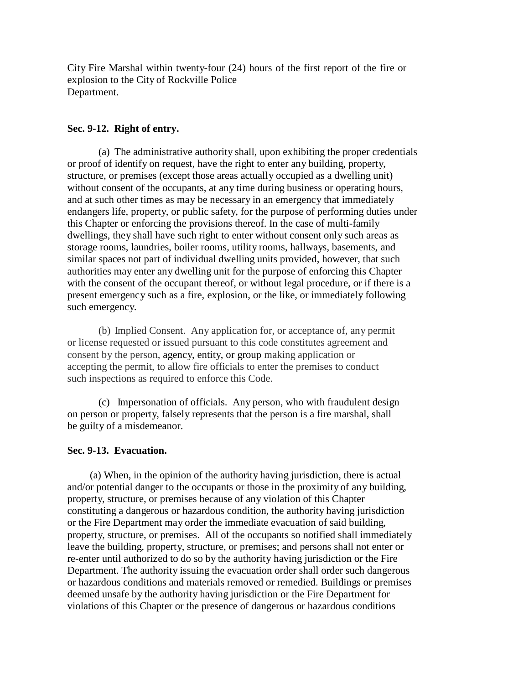City Fire Marshal within twenty-four (24) hours of the first report of the fire or explosion to the City of Rockville Police Department.

## **Sec. 9-12. Right of entry.**

(a) The administrative authority shall, upon exhibiting the proper credentials or proof of identify on request, have the right to enter any building, property, structure, or premises (except those areas actually occupied as a dwelling unit) without consent of the occupants, at any time during business or operating hours, and at such other times as may be necessary in an emergency that immediately endangers life, property, or public safety, for the purpose of performing duties under this Chapter or enforcing the provisions thereof. In the case of multi-family dwellings, they shall have such right to enter without consent only such areas as storage rooms, laundries, boiler rooms, utility rooms, hallways, basements, and similar spaces not part of individual dwelling units provided, however, that such authorities may enter any dwelling unit for the purpose of enforcing this Chapter with the consent of the occupant thereof, or without legal procedure, or if there is a present emergency such as a fire, explosion, or the like, or immediately following such emergency.

(b) Implied Consent. Any application for, or acceptance of, any permit or license requested or issued pursuant to this code constitutes agreement and consent by the person, agency, entity, or group making application or accepting the permit, to allow fire officials to enter the premises to conduct such inspections as required to enforce this Code.

(c) Impersonation of officials. Any person, who with fraudulent design on person or property, falsely represents that the person is a fire marshal, shall be guilty of a misdemeanor.

### **Sec. 9-13. Evacuation.**

(a) When, in the opinion of the authority having jurisdiction, there is actual and/or potential danger to the occupants or those in the proximity of any building, property, structure, or premises because of any violation of this Chapter constituting a dangerous or hazardous condition, the authority having jurisdiction or the Fire Department may order the immediate evacuation of said building, property, structure, or premises. All of the occupants so notified shall immediately leave the building, property, structure, or premises; and persons shall not enter or re-enter until authorized to do so by the authority having jurisdiction or the Fire Department. The authority issuing the evacuation order shall order such dangerous or hazardous conditions and materials removed or remedied. Buildings or premises deemed unsafe by the authority having jurisdiction or the Fire Department for violations of this Chapter or the presence of dangerous or hazardous conditions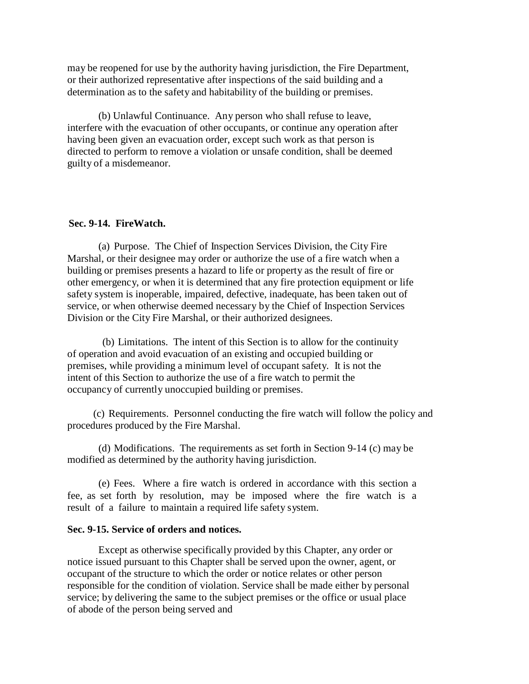may be reopened for use by the authority having jurisdiction, the Fire Department, or their authorized representative after inspections of the said building and a determination as to the safety and habitability of the building or premises.

(b) Unlawful Continuance. Any person who shall refuse to leave, interfere with the evacuation of other occupants, or continue any operation after having been given an evacuation order, except such work as that person is directed to perform to remove a violation or unsafe condition, shall be deemed guilty of a misdemeanor.

### **Sec. 9-14. FireWatch.**

(a) Purpose. The Chief of Inspection Services Division, the City Fire Marshal, or their designee may order or authorize the use of a fire watch when a building or premises presents a hazard to life or property as the result of fire or other emergency, or when it is determined that any fire protection equipment or life safety system is inoperable, impaired, defective, inadequate, has been taken out of service, or when otherwise deemed necessary by the Chief of Inspection Services Division or the City Fire Marshal, or their authorized designees.

(b) Limitations. The intent of this Section is to allow for the continuity of operation and avoid evacuation of an existing and occupied building or premises, while providing a minimum level of occupant safety. It is not the intent of this Section to authorize the use of a fire watch to permit the occupancy of currently unoccupied building or premises.

(c) Requirements. Personnel conducting the fire watch will follow the policy and procedures produced by the Fire Marshal.

(d) Modifications. The requirements as set forth in Section 9-14 (c) may be modified as determined by the authority having jurisdiction.

(e) Fees. Where a fire watch is ordered in accordance with this section a fee, as set forth by resolution, may be imposed where the fire watch is a result of a failure to maintain a required life safety system.

### **Sec. 9-15. Service of orders and notices.**

Except as otherwise specifically provided by this Chapter, any order or notice issued pursuant to this Chapter shall be served upon the owner, agent, or occupant of the structure to which the order or notice relates or other person responsible for the condition of violation. Service shall be made either by personal service; by delivering the same to the subject premises or the office or usual place of abode of the person being served and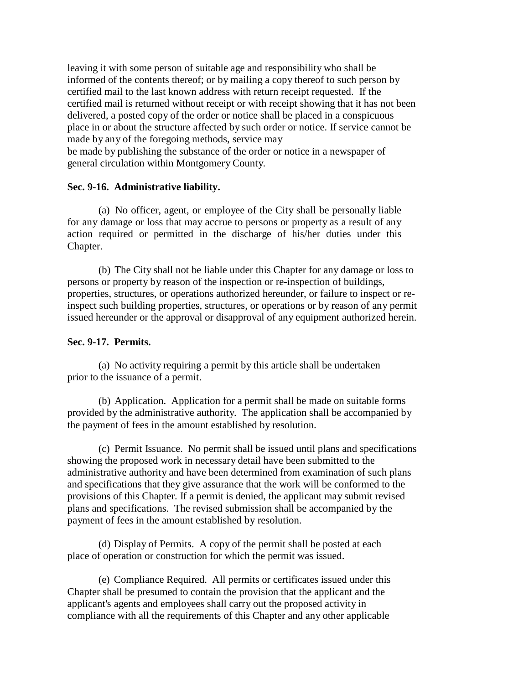leaving it with some person of suitable age and responsibility who shall be informed of the contents thereof; or by mailing a copy thereof to such person by certified mail to the last known address with return receipt requested. If the certified mail is returned without receipt or with receipt showing that it has not been delivered, a posted copy of the order or notice shall be placed in a conspicuous place in or about the structure affected by such order or notice. If service cannot be made by any of the foregoing methods, service may

be made by publishing the substance of the order or notice in a newspaper of general circulation within Montgomery County.

## **Sec. 9-16. Administrative liability.**

(a) No officer, agent, or employee of the City shall be personally liable for any damage or loss that may accrue to persons or property as a result of any action required or permitted in the discharge of his/her duties under this Chapter.

(b) The City shall not be liable under this Chapter for any damage or loss to persons or property by reason of the inspection or re-inspection of buildings, properties, structures, or operations authorized hereunder, or failure to inspect or reinspect such building properties, structures, or operations or by reason of any permit issued hereunder or the approval or disapproval of any equipment authorized herein.

## **Sec. 9-17. Permits.**

(a) No activity requiring a permit by this article shall be undertaken prior to the issuance of a permit.

(b) Application. Application for a permit shall be made on suitable forms provided by the administrative authority. The application shall be accompanied by the payment of fees in the amount established by resolution.

(c) Permit Issuance. No permit shall be issued until plans and specifications showing the proposed work in necessary detail have been submitted to the administrative authority and have been determined from examination of such plans and specifications that they give assurance that the work will be conformed to the provisions of this Chapter. If a permit is denied, the applicant may submit revised plans and specifications. The revised submission shall be accompanied by the payment of fees in the amount established by resolution.

(d) Display of Permits. A copy of the permit shall be posted at each place of operation or construction for which the permit was issued.

(e) Compliance Required. All permits or certificates issued under this Chapter shall be presumed to contain the provision that the applicant and the applicant's agents and employees shall carry out the proposed activity in compliance with all the requirements of this Chapter and any other applicable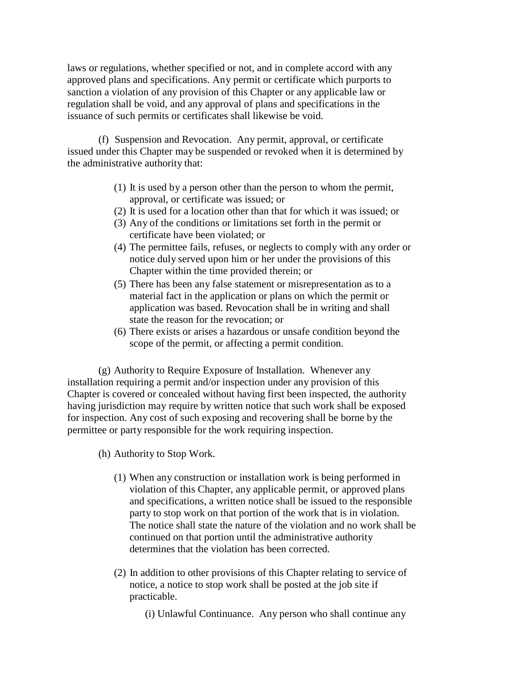laws or regulations, whether specified or not, and in complete accord with any approved plans and specifications. Any permit or certificate which purports to sanction a violation of any provision of this Chapter or any applicable law or regulation shall be void, and any approval of plans and specifications in the issuance of such permits or certificates shall likewise be void.

(f) Suspension and Revocation. Any permit, approval, or certificate issued under this Chapter may be suspended or revoked when it is determined by the administrative authority that:

- (1) It is used by a person other than the person to whom the permit, approval, or certificate was issued; or
- (2) It is used for a location other than that for which it was issued; or
- (3) Any of the conditions or limitations set forth in the permit or certificate have been violated; or
- (4) The permittee fails, refuses, or neglects to comply with any order or notice duly served upon him or her under the provisions of this Chapter within the time provided therein; or
- (5) There has been any false statement or misrepresentation as to a material fact in the application or plans on which the permit or application was based. Revocation shall be in writing and shall state the reason for the revocation; or
- (6) There exists or arises a hazardous or unsafe condition beyond the scope of the permit, or affecting a permit condition.

(g) Authority to Require Exposure of Installation. Whenever any installation requiring a permit and/or inspection under any provision of this Chapter is covered or concealed without having first been inspected, the authority having jurisdiction may require by written notice that such work shall be exposed for inspection. Any cost of such exposing and recovering shall be borne by the permittee or party responsible for the work requiring inspection.

- (h) Authority to Stop Work.
	- (1) When any construction or installation work is being performed in violation of this Chapter, any applicable permit, or approved plans and specifications, a written notice shall be issued to the responsible party to stop work on that portion of the work that is in violation. The notice shall state the nature of the violation and no work shall be continued on that portion until the administrative authority determines that the violation has been corrected.
	- (2) In addition to other provisions of this Chapter relating to service of notice, a notice to stop work shall be posted at the job site if practicable.

(i) Unlawful Continuance. Any person who shall continue any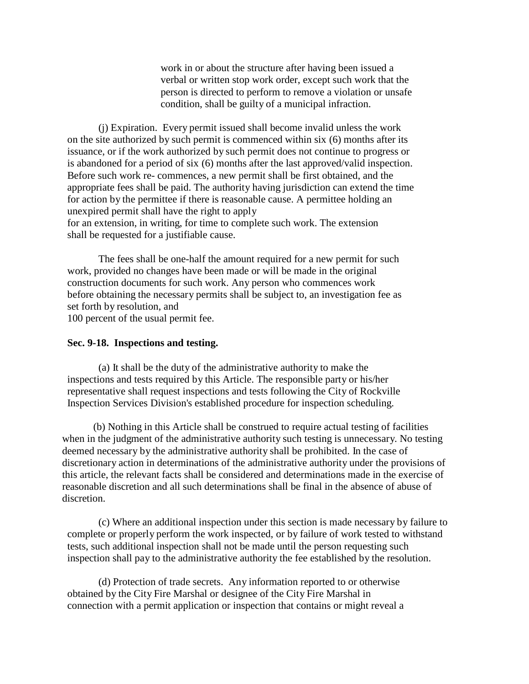work in or about the structure after having been issued a verbal or written stop work order, except such work that the person is directed to perform to remove a violation or unsafe condition, shall be guilty of a municipal infraction.

(j) Expiration. Every permit issued shall become invalid unless the work on the site authorized by such permit is commenced within six (6) months after its issuance, or if the work authorized by such permit does not continue to progress or is abandoned for a period of six (6) months after the last approved/valid inspection. Before such work re- commences, a new permit shall be first obtained, and the appropriate fees shall be paid. The authority having jurisdiction can extend the time for action by the permittee if there is reasonable cause. A permittee holding an unexpired permit shall have the right to apply for an extension, in writing, for time to complete such work. The extension shall be requested for a justifiable cause.

The fees shall be one-half the amount required for a new permit for such work, provided no changes have been made or will be made in the original construction documents for such work. Any person who commences work before obtaining the necessary permits shall be subject to, an investigation fee as set forth by resolution, and

100 percent of the usual permit fee.

### **Sec. 9-18. Inspections and testing.**

(a) It shall be the duty of the administrative authority to make the inspections and tests required by this Article. The responsible party or his/her representative shall request inspections and tests following the City of Rockville Inspection Services Division's established procedure for inspection scheduling.

(b) Nothing in this Article shall be construed to require actual testing of facilities when in the judgment of the administrative authority such testing is unnecessary. No testing deemed necessary by the administrative authority shall be prohibited. In the case of discretionary action in determinations of the administrative authority under the provisions of this article, the relevant facts shall be considered and determinations made in the exercise of reasonable discretion and all such determinations shall be final in the absence of abuse of discretion.

(c) Where an additional inspection under this section is made necessary by failure to complete or properly perform the work inspected, or by failure of work tested to withstand tests, such additional inspection shall not be made until the person requesting such inspection shall pay to the administrative authority the fee established by the resolution.

(d) Protection of trade secrets. Any information reported to or otherwise obtained by the City Fire Marshal or designee of the City Fire Marshal in connection with a permit application or inspection that contains or might reveal a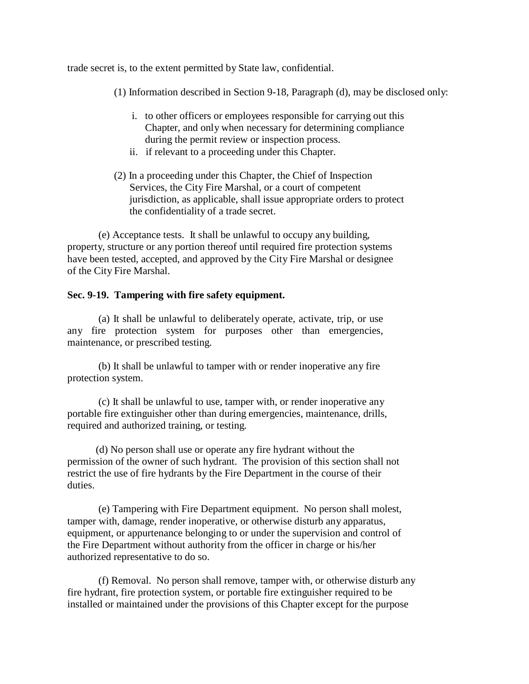trade secret is, to the extent permitted by State law, confidential.

(1) Information described in Section 9-18, Paragraph (d), may be disclosed only:

- i. to other officers or employees responsible for carrying out this Chapter, and only when necessary for determining compliance during the permit review or inspection process.
- ii. if relevant to a proceeding under this Chapter.
- (2) In a proceeding under this Chapter, the Chief of Inspection Services, the City Fire Marshal, or a court of competent jurisdiction, as applicable, shall issue appropriate orders to protect the confidentiality of a trade secret.

(e) Acceptance tests. It shall be unlawful to occupy any building, property, structure or any portion thereof until required fire protection systems have been tested, accepted, and approved by the City Fire Marshal or designee of the City Fire Marshal.

# **Sec. 9-19. Tampering with fire safety equipment.**

(a) It shall be unlawful to deliberately operate, activate, trip, or use any fire protection system for purposes other than emergencies, maintenance, or prescribed testing.

(b) It shall be unlawful to tamper with or render inoperative any fire protection system.

(c) It shall be unlawful to use, tamper with, or render inoperative any portable fire extinguisher other than during emergencies, maintenance, drills, required and authorized training, or testing.

(d) No person shall use or operate any fire hydrant without the permission of the owner of such hydrant. The provision of this section shall not restrict the use of fire hydrants by the Fire Department in the course of their duties.

(e) Tampering with Fire Department equipment. No person shall molest, tamper with, damage, render inoperative, or otherwise disturb any apparatus, equipment, or appurtenance belonging to or under the supervision and control of the Fire Department without authority from the officer in charge or his/her authorized representative to do so.

(f) Removal. No person shall remove, tamper with, or otherwise disturb any fire hydrant, fire protection system, or portable fire extinguisher required to be installed or maintained under the provisions of this Chapter except for the purpose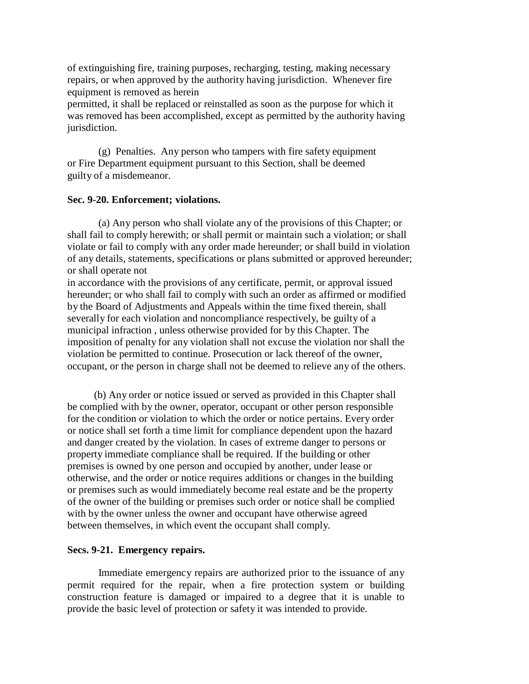of extinguishing fire, training purposes, recharging, testing, making necessary repairs, or when approved by the authority having jurisdiction. Whenever fire equipment is removed as herein

permitted, it shall be replaced or reinstalled as soon as the purpose for which it was removed has been accomplished, except as permitted by the authority having jurisdiction.

(g) Penalties. Any person who tampers with fire safety equipment or Fire Department equipment pursuant to this Section, shall be deemed guilty of a misdemeanor.

### **Sec. 9-20. Enforcement; violations.**

(a) Any person who shall violate any of the provisions of this Chapter; or shall fail to comply herewith; or shall permit or maintain such a violation; or shall violate or fail to comply with any order made hereunder; or shall build in violation of any details, statements, specifications or plans submitted or approved hereunder; or shall operate not

in accordance with the provisions of any certificate, permit, or approval issued hereunder; or who shall fail to comply with such an order as affirmed or modified by the Board of Adjustments and Appeals within the time fixed therein, shall severally for each violation and noncompliance respectively, be guilty of a municipal infraction , unless otherwise provided for by this Chapter. The imposition of penalty for any violation shall not excuse the violation nor shall the violation be permitted to continue. Prosecution or lack thereof of the owner, occupant, or the person in charge shall not be deemed to relieve any of the others.

(b) Any order or notice issued or served as provided in this Chapter shall be complied with by the owner, operator, occupant or other person responsible for the condition or violation to which the order or notice pertains. Every order or notice shall set forth a time limit for compliance dependent upon the hazard and danger created by the violation. In cases of extreme danger to persons or property immediate compliance shall be required. If the building or other premises is owned by one person and occupied by another, under lease or otherwise, and the order or notice requires additions or changes in the building or premises such as would immediately become real estate and be the property of the owner of the building or premises such order or notice shall be complied with by the owner unless the owner and occupant have otherwise agreed between themselves, in which event the occupant shall comply.

#### **Secs. 9-21. Emergency repairs.**

Immediate emergency repairs are authorized prior to the issuance of any permit required for the repair, when a fire protection system or building construction feature is damaged or impaired to a degree that it is unable to provide the basic level of protection or safety it was intended to provide.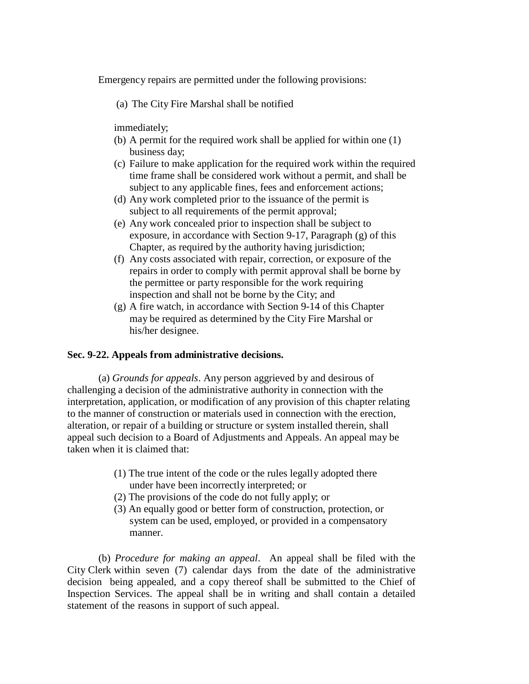Emergency repairs are permitted under the following provisions:

(a) The City Fire Marshal shall be notified

immediately;

- (b) A permit for the required work shall be applied for within one (1) business day;
- (c) Failure to make application for the required work within the required time frame shall be considered work without a permit, and shall be subject to any applicable fines, fees and enforcement actions;
- (d) Any work completed prior to the issuance of the permit is subject to all requirements of the permit approval;
- (e) Any work concealed prior to inspection shall be subject to exposure, in accordance with Section 9-17, Paragraph (g) of this Chapter, as required by the authority having jurisdiction;
- (f) Any costs associated with repair, correction, or exposure of the repairs in order to comply with permit approval shall be borne by the permittee or party responsible for the work requiring inspection and shall not be borne by the City; and
- (g) A fire watch, in accordance with Section 9-14 of this Chapter may be required as determined by the City Fire Marshal or his/her designee.

### **Sec. 9-22. Appeals from administrative decisions.**

(a) *Grounds for appeals*. Any person aggrieved by and desirous of challenging a decision of the administrative authority in connection with the interpretation, application, or modification of any provision of this chapter relating to the manner of construction or materials used in connection with the erection, alteration, or repair of a building or structure or system installed therein, shall appeal such decision to a Board of Adjustments and Appeals. An appeal may be taken when it is claimed that:

- (1) The true intent of the code or the rules legally adopted there under have been incorrectly interpreted; or
- (2) The provisions of the code do not fully apply; or
- (3) An equally good or better form of construction, protection, or system can be used, employed, or provided in a compensatory manner.

(b) *Procedure for making an appeal*. An appeal shall be filed with the City Clerk within seven (7) calendar days from the date of the administrative decision being appealed, and a copy thereof shall be submitted to the Chief of Inspection Services. The appeal shall be in writing and shall contain a detailed statement of the reasons in support of such appeal.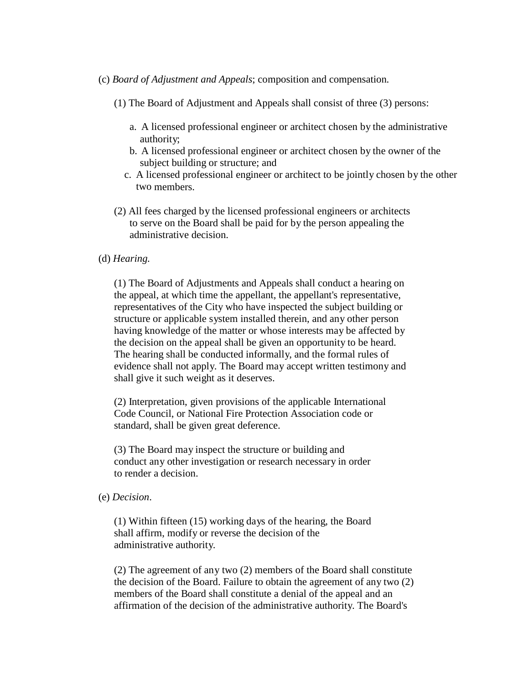- (c) *Board of Adjustment and Appeals*; composition and compensation*.*
	- (1) The Board of Adjustment and Appeals shall consist of three (3) persons:
		- a. A licensed professional engineer or architect chosen by the administrative authority;
		- b. A licensed professional engineer or architect chosen by the owner of the subject building or structure; and
		- c. A licensed professional engineer or architect to be jointly chosen by the other two members.
	- (2) All fees charged by the licensed professional engineers or architects to serve on the Board shall be paid for by the person appealing the administrative decision.
- (d) *Hearing.*

(1) The Board of Adjustments and Appeals shall conduct a hearing on the appeal, at which time the appellant, the appellant's representative, representatives of the City who have inspected the subject building or structure or applicable system installed therein, and any other person having knowledge of the matter or whose interests may be affected by the decision on the appeal shall be given an opportunity to be heard. The hearing shall be conducted informally, and the formal rules of evidence shall not apply. The Board may accept written testimony and shall give it such weight as it deserves.

(2) Interpretation, given provisions of the applicable International Code Council, or National Fire Protection Association code or standard, shall be given great deference.

(3) The Board may inspect the structure or building and conduct any other investigation or research necessary in order to render a decision.

(e) *Decision*.

(1) Within fifteen (15) working days of the hearing, the Board shall affirm, modify or reverse the decision of the administrative authority.

(2) The agreement of any two (2) members of the Board shall constitute the decision of the Board. Failure to obtain the agreement of any two (2) members of the Board shall constitute a denial of the appeal and an affirmation of the decision of the administrative authority. The Board's